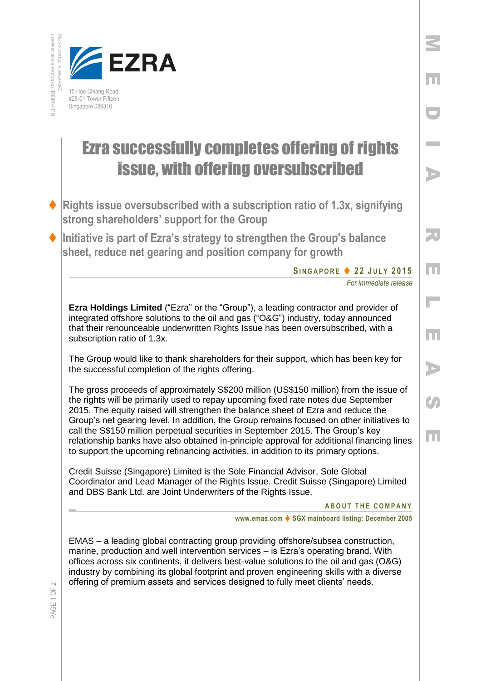



## Ezra successfully completes offering of rights issue, with offering oversubscribed

- **Rights issue oversubscribed with a subscription ratio of 1.3x, signifying strong shareholders' support for the Group**
- **Initiative is part of Ezra's strategy to strengthen the Group's balance sheet, reduce net gearing and position company for growth**

**S I N G A P O R E 2 2 J U L Y 2 0 1 5**

*For immediate release* 

M

E

D

I

A

R

E

 $\mathbb{R}^2$ 

E

A

Co

E

**Ezra Holdings Limited** ("Ezra" or the "Group"), a leading contractor and provider of integrated offshore solutions to the oil and gas ("O&G") industry, today announced that their renounceable underwritten Rights Issue has been oversubscribed, with a subscription ratio of 1.3x.

The Group would like to thank shareholders for their support, which has been key for the successful completion of the rights offering.

The gross proceeds of approximately S\$200 million (US\$150 million) from the issue of the rights will be primarily used to repay upcoming fixed rate notes due September 2015. The equity raised will strengthen the balance sheet of Ezra and reduce the Group's net gearing level. In addition, the Group remains focused on other initiatives to call the S\$150 million perpetual securities in September 2015. The Group's key relationship banks have also obtained in-principle approval for additional financing lines to support the upcoming refinancing activities, in addition to its primary options.

Credit Suisse (Singapore) Limited is the Sole Financial Advisor, Sole Global Coordinator and Lead Manager of the Rights Issue. Credit Suisse (Singapore) Limited and DBS Bank Ltd. are Joint Underwriters of the Rights Issue.

## **ABOUT THE COMPANY**

**www.emas.com ♦ SGX mainboard listing: December 2005** 

EMAS – a leading global contracting group providing offshore/subsea construction, marine, production and well intervention services – is Ezra's operating brand. With offices across six continents, it delivers best-value solutions to the oil and gas (O&G) industry by combining its global footprint and proven engineering skills with a diverse offering of premium assets and services designed to fully meet clients' needs.